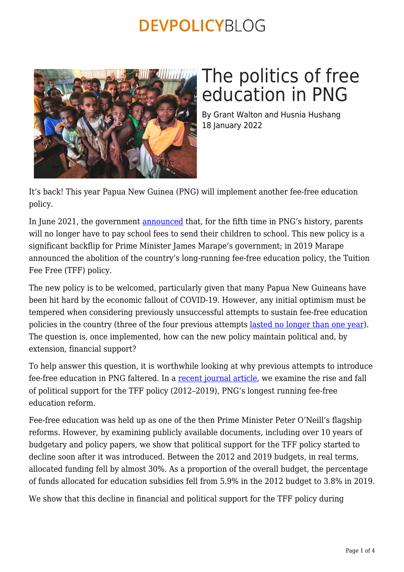

# The politics of free education in PNG

By Grant Walton and Husnia Hushang 18 January 2022

It's back! This year Papua New Guinea (PNG) will implement another fee-free education policy.

In June 2021, the government [announced](https://pnghausbung.com/free-education-for-schools/) that, for the fifth time in PNG's history, parents will no longer have to pay school fees to send their children to school. This new policy is a significant backflip for Prime Minister James Marape's government; in 2019 Marape announced the abolition of the country's long-running fee-free education policy, the Tuition Fee Free (TFF) policy.

The new policy is to be welcomed, particularly given that many Papua New Guineans have been hit hard by the economic fallout of COVID-19. However, any initial optimism must be tempered when considering previously unsuccessful attempts to sustain fee-free education policies in the country (three of the four previous attempts [lasted no longer than one year](https://www.devpolicy.org/fourth-times-the-charm-a-brief-history-of-free-education-policies-in-png-20141209/?print=print)). The question is, once implemented, how can the new policy maintain political and, by extension, financial support?

To help answer this question, it is worthwhile looking at why previous attempts to introduce fee-free education in PNG faltered. In a [recent journal article,](https://onlinelibrary.wiley.com/doi/full/10.1002/app5.339) we examine the rise and fall of political support for the TFF policy (2012–2019), PNG's longest running fee-free education reform.

Fee-free education was held up as one of the then Prime Minister Peter O'Neill's flagship reforms. However, by examining publicly available documents, including over 10 years of budgetary and policy papers, we show that political support for the TFF policy started to decline soon after it was introduced. Between the 2012 and 2019 budgets, in real terms, allocated funding fell by almost 30%. As a proportion of the overall budget, the percentage of funds allocated for education subsidies fell from 5.9% in the 2012 budget to 3.8% in 2019.

We show that this decline in financial and political support for the TFF policy during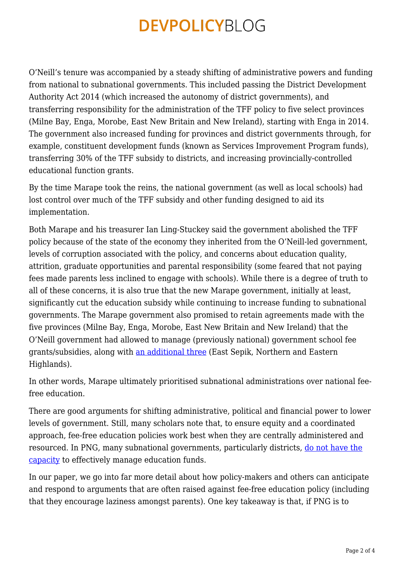O'Neill's tenure was accompanied by a steady shifting of administrative powers and funding from national to subnational governments. This included passing the District Development Authority Act 2014 (which increased the autonomy of district governments), and transferring responsibility for the administration of the TFF policy to five select provinces (Milne Bay, Enga, Morobe, East New Britain and New Ireland), starting with Enga in 2014. The government also increased funding for provinces and district governments through, for example, constituent development funds (known as Services Improvement Program funds), transferring 30% of the TFF subsidy to districts, and increasing provincially-controlled educational function grants.

By the time Marape took the reins, the national government (as well as local schools) had lost control over much of the TFF subsidy and other funding designed to aid its implementation.

Both Marape and his treasurer Ian Ling-Stuckey said the government abolished the TFF policy because of the state of the economy they inherited from the O'Neill-led government, levels of corruption associated with the policy, and concerns about education quality, attrition, graduate opportunities and parental responsibility (some feared that not paying fees made parents less inclined to engage with schools). While there is a degree of truth to all of these concerns, it is also true that the new Marape government, initially at least, significantly cut the education subsidy while continuing to increase funding to subnational governments. The Marape government also promised to retain agreements made with the five provinces (Milne Bay, Enga, Morobe, East New Britain and New Ireland) that the O'Neill government had allowed to manage (previously national) government school fee grants/subsidies, along with [an additional three](https://www.pnginsightblog.com/2021/02/png-govt-tuition-fee-subsidy-2021-press.html) (East Sepik, Northern and Eastern Highlands).

In other words, Marape ultimately prioritised subnational administrations over national feefree education.

There are good arguments for shifting administrative, political and financial power to lower levels of government. Still, many scholars note that, to ensure equity and a coordinated approach, fee-free education policies work best when they are centrally administered and resourced. In PNG, many subnational governments, particularly districts, [do not have the](https://devpolicy.org/creeping-re-centralisation-pngs-education-sector-20160615/) [capacity](https://devpolicy.org/creeping-re-centralisation-pngs-education-sector-20160615/) to effectively manage education funds.

In our paper, we go into far more detail about how policy-makers and others can anticipate and respond to arguments that are often raised against fee-free education policy (including that they encourage laziness amongst parents). One key takeaway is that, if PNG is to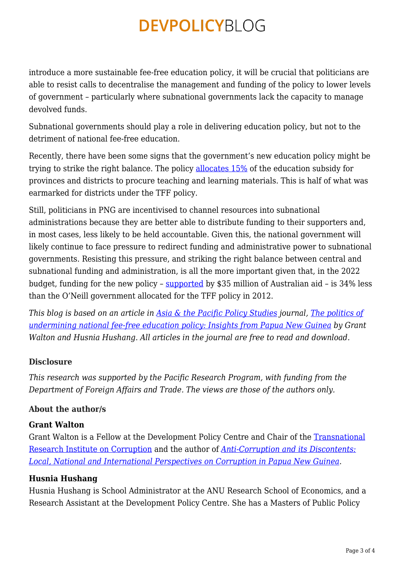introduce a more sustainable fee-free education policy, it will be crucial that politicians are able to resist calls to decentralise the management and funding of the policy to lower levels of government – particularly where subnational governments lack the capacity to manage devolved funds.

Subnational governments should play a role in delivering education policy, but not to the detriment of national fee-free education.

Recently, there have been some signs that the government's new education policy might be trying to strike the right balance. The policy [allocates 15%](https://www.thenational.com.pg/transporting-materials-still-a-challenge/) of the education subsidy for provinces and districts to procure teaching and learning materials. This is half of what was earmarked for districts under the TFF policy.

Still, politicians in PNG are incentivised to channel resources into subnational administrations because they are better able to distribute funding to their supporters and, in most cases, less likely to be held accountable. Given this, the national government will likely continue to face pressure to redirect funding and administrative power to subnational governments. Resisting this pressure, and striking the right balance between central and subnational funding and administration, is all the more important given that, in the 2022 budget, funding for the new policy – [supported](https://edu.pngfacts.com/education-news/australia-to-pay-schools-fees-for-primary-schools-in-png-for-2022-academic-year) by \$35 million of Australian aid – is 34% less than the O'Neill government allocated for the TFF policy in 2012.

*This blog is based on an article in [Asia & the Pacific Policy Studies](https://onlinelibrary.wiley.com/journal/20502680) journal, [The politics of](https://onlinelibrary.wiley.com/doi/full/10.1002/app5.339) [undermining national fee-free education policy: Insights from Papua New Guinea](https://onlinelibrary.wiley.com/doi/full/10.1002/app5.339) by Grant Walton and Husnia Hushang. All articles in the journal are free to read and download.*

#### **Disclosure**

*This research was supported by the Pacific Research Program, with funding from the Department of Foreign Affairs and Trade. The views are those of the authors only.*

#### **About the author/s**

#### **Grant Walton**

Grant Walton is a Fellow at the Development Policy Centre and Chair of the [Transnational](https://tric.crawford.anu.edu.au/) [Research Institute on Corruption](https://tric.crawford.anu.edu.au/) and the author of *[Anti-Corruption and its Discontents:](https://www.routledge.com/Anti-Corruption-and-its-Discontents-Local-National-and-International-Perspectives/Walton/p/book/9780367245221) [Local, National and International Perspectives on Corruption in Papua New Guinea](https://www.routledge.com/Anti-Corruption-and-its-Discontents-Local-National-and-International-Perspectives/Walton/p/book/9780367245221)*.

#### **Husnia Hushang**

Husnia Hushang is School Administrator at the ANU Research School of Economics, and a Research Assistant at the Development Policy Centre. She has a Masters of Public Policy